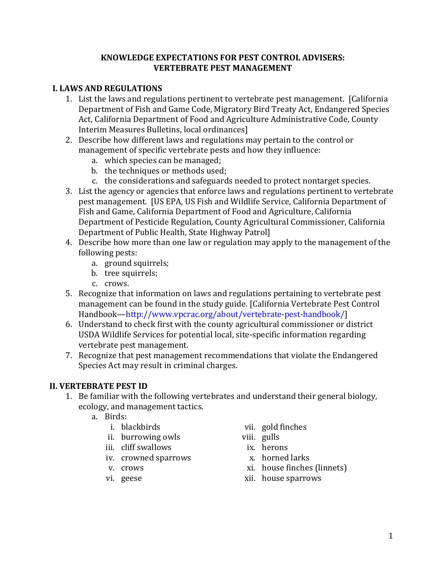#### **KNOWLEDGE EXPECTATIONS FOR PEST CONTROL ADVISERS: VERTEBRATE PEST MANAGEMENT**

### **I. LAWS AND REGULATIONS**

- Department of Fish and Game Code, Migratory Bird Treaty Act, Endangered Species 1. List the laws and regulations pertinent to vertebrate pest management. [California Act, California Department of Food and Agriculture Administrative Code, County Interim Measures Bulletins, local ordinances]
- 2. Describe how different laws and regulations may pertain to the control or management of specific vertebrate pests and how they influence:
	- a. which species can be managed;
	- b. the techniques or methods used;
	- c. the considerations and safeguards needed to protect nontarget species.
- 3. List the agency or agencies that enforce laws and regulations pertinent to vertebrate pest management. [US EPA, US Fish and Wildlife Service, California Department of Fish and Game, California Department of Food and Agriculture, California Department of Pesticide Regulation, County Agricultural Commissioner, California Department of Public Health, State Highway Patrol]
- 4. Describe how more than one law or regulation may apply to the management of the following pests:
	- a. ground squirrels;
	- b. tree squirrels:
	- c. crows.
- 5. Recognize that information on laws and regulations pertaining to vertebrate pest management can be found in the study guide. [California Vertebrate Pest Control Handbook—http://www.[vpcrac.org/about/vertebrate-pest-handbook/](http://www.vpcrac.org/about/vertebrate-pest-handbook/)]
- 6. Understand to check first with the county agricultural commissioner or district USDA Wildlife Services for potential local, site-specific information regarding vertebrate pest management.
- 7. Recognize that pest management recommendations that violate the Endangered Species Act may result in criminal charges.

### **II. VERTEBRATE PEST ID**

- 1. Be familiar with the following vertebrates and understand their general biology, ecology, and management tactics.
	-
	- a. Birds:
		- ii. burrowing owls viii. gulls
		-
		- iii. cliff swallows ix. herons<br>iv. crowned sparrows **in the state of the state of the state of the state of the state of the state of the state** iv. crowned sparrows<br>v. crows
		-
		-
- vii. gold finches<br>viii. gulls
- -
	-
- v. crows xi. house finches (linnets)<br>
vi. geese xii. house sparrows
	- xii. house sparrows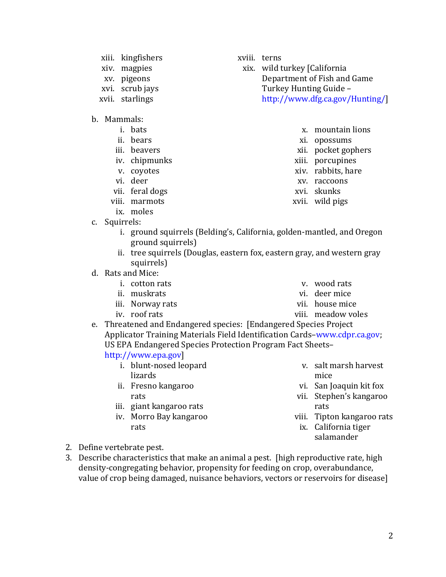2

- xiii. kingfishers
- xiv. magpies
- xv. pigeons
- xvi. scrub jays
- xvii. starlings
- b. Mammals:
	- i. bats
	- ii. bears
	- iii. beavers
	- iv. chipmunks
	- v. coyotes
	- vi. deer
	- vii. feral dogs
	- viii. marmots
		- ix. moles
- c. Squirrels:

xviii. terns

xix. wild turkey [California Department of Fish and Game Turkey Hunting Guide – <http://www.dfg.ca.gov/Hunting/>]

- x. mountain lions
- xi. opossums
- xii. pocket gophers
- xiii. porcupines
- xiv. rabbits, hare
- xv. raccoons
- xvi. skunks
- xvii. wild pigs
- ground squirrels) i. ground squirrels (Belding's, California, golden-mantled, and Oregon
- ii. tree squirrels (Douglas, eastern fox, eastern gray, and western gray squirrels)
- d. Rats and Mice:
	-
	-
	- iii. Norway rats<br>iv. roof rats
	-
- i. cotton rats when we have the vertex of the vertex of  $\mathbf{v}$ . wood rats
	- ii. muskrats vi. deer mice<br>iii. Norway rats vii. house mice vi. deer mice
		-
		- viii. meadow voles
- e. Threatened and Endangered species: [Endangered Species Project Applicator Training Materials Field Identification [Cards–www.cdpr.ca.gov;](https://Cards�www.cdpr.ca.gov) US EPA Endangered Species Protection Program Fact Sheets–
	- [http://www.epa.gov\]](http://www.epa.gov)
		- i. blunt-nosed leopard lizards
		- ii. Fresno kangaroo rats
		- iii. giant kangaroo rats
		- iv. Morro Bay kangaroo rats
- v. salt marsh harvest mice
- vi. San Joaquin kit fox
- vii. Stephen's kangaroo
- viii. Tipton kangaroo rats
	- ix. California tiger salamander

- 2. Define vertebrate pest.
- 3. Describe characteristics that make an animal a pest. [high reproductive rate, high density-congregating behavior, propensity for feeding on crop, overabundance, value of crop being damaged, nuisance behaviors, vectors or reservoirs for disease]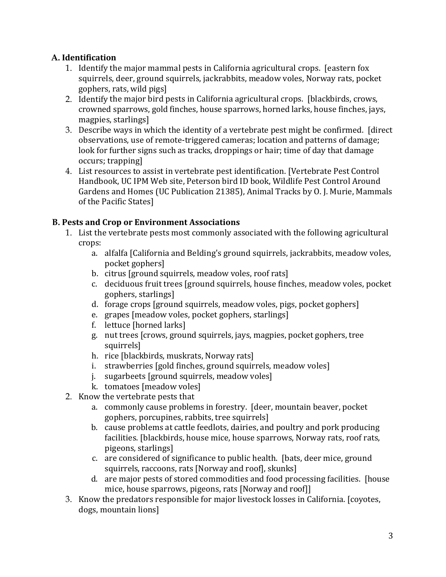## **A. Identification**

- 1. Identify the major mammal pests in California agricultural crops. [eastern fox squirrels, deer, ground squirrels, jackrabbits, meadow voles, Norway rats, pocket gophers, rats, wild pigs]
- 2. Identify the major bird pests in California agricultural crops. [blackbirds, crows, crowned sparrows, gold finches, house sparrows, horned larks, house finches, jays, magpies, starlings]
- 3. Describe ways in which the identity of a vertebrate pest might be confirmed. [direct observations, use of remote-triggered cameras; location and patterns of damage; look for further signs such as tracks, droppings or hair; time of day that damage occurs; trapping]
- 4. List resources to assist in vertebrate pest identification. [Vertebrate Pest Control Handbook, UC IPM Web site, Peterson bird ID book, Wildlife Pest Control Around Gardens and Homes (UC Publication 21385), Animal Tracks by O. J. Murie, Mammals of the Pacific States]

## **B. Pests and Crop or Environment Associations**

- 1. List the vertebrate pests most commonly associated with the following agricultural crops:
	- a. alfalfa [California and Belding's ground squirrels, jackrabbits, meadow voles, pocket gophers]
	- b. citrus [ground squirrels, meadow voles, roof rats]
	- c. deciduous fruit trees [ground squirrels, house finches, meadow voles, pocket gophers, starlings]
	- d. forage crops [ground squirrels, meadow voles, pigs, pocket gophers]
	- e. grapes [meadow voles, pocket gophers, starlings]
	- f. lettuce [horned larks]
	- g. nut trees [crows, ground squirrels, jays, magpies, pocket gophers, tree squirrels]
	- h. rice [blackbirds, muskrats, Norway rats]
	- i. strawberries [gold finches, ground squirrels, meadow voles]
	- j. sugarbeets [ground squirrels, meadow voles]
	- k. tomatoes [meadow voles]
- 2. Know the vertebrate pests that
	- a. commonly cause problems in forestry. [deer, mountain beaver, pocket gophers, porcupines, rabbits, tree squirrels]
	- facilities. [blackbirds, house mice, house sparrows, Norway rats, roof rats, b. cause problems at cattle feedlots, dairies, and poultry and pork producing pigeons, starlings]
	- c. are considered of significance to public health. [bats, deer mice, ground squirrels, raccoons, rats [Norway and roof], skunks]
	- d. are major pests of stored commodities and food processing facilities. [house mice, house sparrows, pigeons, rats [Norway and roof]]
- 3. Know the predators responsible for major livestock losses in California. [coyotes, dogs, mountain lions]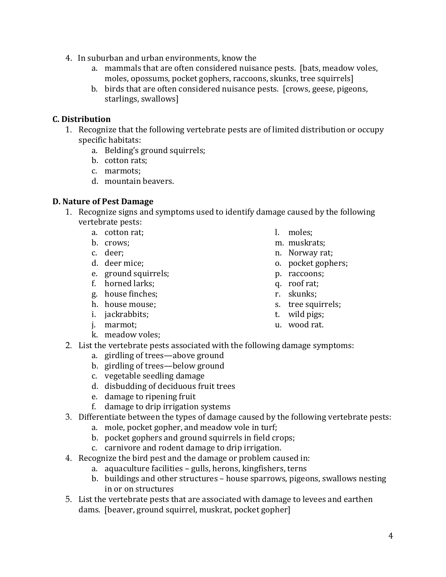- 4. In suburban and urban environments, know the
	- a. mammals that are often considered nuisance pests. [bats, meadow voles, moles, opossums, pocket gophers, raccoons, skunks, tree squirrels]
	- b. birds that are often considered nuisance pests. [crows, geese, pigeons, starlings, swallows]

### **C. Distribution**

- 1. Recognize that the following vertebrate pests are of limited distribution or occupy specific habitats:
	- a. Belding's ground squirrels;
	- b. cotton rats;
	- c. marmots;
	- d. mountain beavers.

#### **D. Nature of Pest Damage**

- 1. Recognize signs and symptoms used to identify damage caused by the following vertebrate pests:
	- a. cotton rat;<br>b. crows:
	-
	-
	- c. deer;<br>d. deer mice:
	- e. ground squirrels; e. p. raccoons<br>f. horned larks; e. e. p. roof rat;
	- f. horned larks; q. roof rat; q. roof rat; q. roof rat; q. roof rat; q. roof rat; q. roof rat; q. roof rat; q. roof rat; q. roof rat; q. roof rat; q. roof rat; q. roof rat; q. roof rat; q. roof rat; q. roof rat; q. roof ra
	- g. house finches;<br>h. house mouse;
	-
	- i. jackrabbits; t. wild pigs; t. wild pigs; t. wild pigs; t. wild pigs; t. wild pigs; t. marmot:
	- j. marmot:
		-
- k. meadow voles;
- 2. List the vertebrate pests associated with the following damage symptoms:
	- a. girdling of trees—above ground
	- b. girdling of trees—below ground
	- c. vegetable seedling damage
	- d. disbudding of deciduous fruit trees
	- e. damage to ripening fruit
	- f. damage to drip irrigation systems
- 3. Differentiate between the types of damage caused by the following vertebrate pests:
	- a. mole, pocket gopher, and meadow vole in turf;
	- b. pocket gophers and ground squirrels in field crops;
	- c. carnivore and rodent damage to drip irrigation.
- 4. Recognize the bird pest and the damage or problem caused in:
	- a. aquaculture facilities gulls, herons, kingfishers, terns
	- b. buildings and other structures house sparrows, pigeons, swallows nesting in or on structures
- dams. [beaver, ground squirrel, muskrat, pocket gopher] 5. List the vertebrate pests that are associated with damage to levees and earthen
- l.
- m. muskrats:
- n. Norway rat;
- o. pocket gophers;<br>p. raccoons;
- 
- 
- 
- s. tree squirrels;<br>t. wild pigs;
- 
-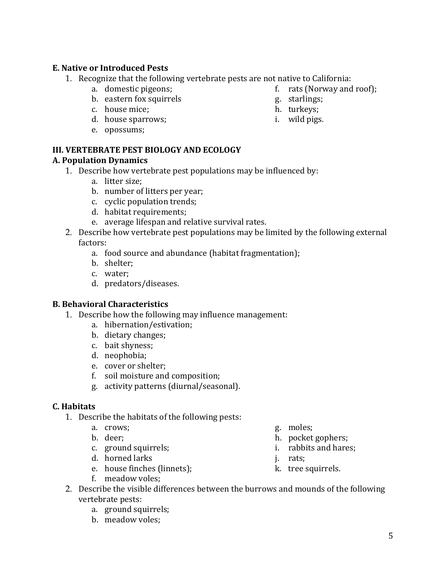### **E. Native or Introduced Pests**

- 1. Recognize that the following vertebrate pests are not native to California:<br>a. domestic pigeons; f. rats (Norway and
	-
	- b. eastern fox squirrels b. eastern fox squirrels g. starlings g. starlings g. starlings g. starlings g. starlings g. starlings g. starlings g. starlings g. starlings g. starlings g. starlings g. starlings g. starlings g.
	-
	- c. house mice; h. turkeys; h. turkeys; h. turkeys; h. turkeys; h. turkeys; h. turkeys; h. turkeys; h. turkeys; h. turkeys; h. turkeys; h. turkeys; h. turkeys; h. turkeys; h. turkeys; h. turkeys; h. turkeys; h. turkeys; h. d. house sparrows;
	- e. opossums;

#### **III. VERTEBRATE PEST BIOLOGY AND ECOLOGY**

#### **A. Population Dynamics**

- 1. Describe how vertebrate pest populations may be influenced by:
	- a. litter size;
	- b. number of litters per year;
	- c. cyclic population trends;
	- d. habitat requirements;
	- e. average lifespan and relative survival rates.
- 2. Describe how vertebrate pest populations may be limited by the following external factors:
	- a. food source and abundance (habitat fragmentation);
	- b. shelter;
	- c. water;
	- d. predators/diseases.

#### **B. Behavioral Characteristics**

- 1. Describe how the following may influence management:
	- a. hibernation/estivation;
	- b. dietary changes;
	- c. bait shyness;
	- d. neophobia;
	- e. cover or shelter;
	- f. soil moisture and composition;
	- g. activity patterns (diurnal/seasonal).

### **C. Habitats**

- 1. Describe the habitats of the following pests:<br>a. crows:
	- a. crows; <br>b. deer: <br>h. pocket
	-
	- c. ground squirrels; i. rabbits and hares;
	-
	- d. horned larks <br>
	e. house finches (linnets); <br>
	https://www.bit.com/states/sections/sections/sections/sections/sections/sections/sections/sections/sections/sections/sections/sections/sections/sections/sections/sections/sec e. house finches (linnets);
	- f. meadow voles;
- 
- h. pocket gophers;<br>i. rabbits and hares:
- 
- 
- 
- 2. Describe the visible differences between the burrows and mounds of the following vertebrate pests:
	- a. ground squirrels;
	- b. meadow voles;
- f. rats (Norway and roof);  $g.$  starlings;
- 
- 
-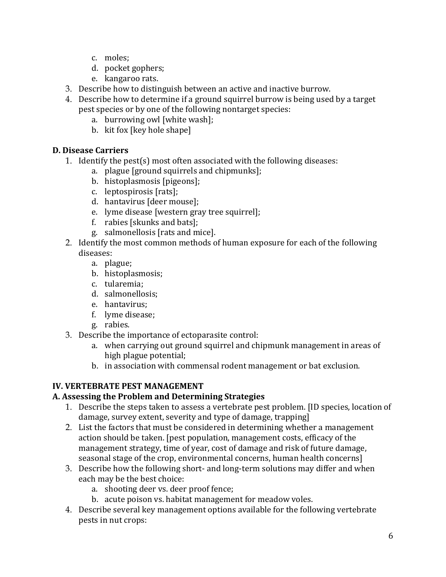- c. moles;
- d. pocket gophers;
- e. kangaroo rats.
- 3. Describe how to distinguish between an active and inactive burrow.
- 4. Describe how to determine if a ground squirrel burrow is being used by a target pest species or by one of the following nontarget species:
	- a. burrowing owl [white wash];
	- b. kit fox [key hole shape]

### **D. Disease Carriers**

- 1. Identify the pest(s) most often associated with the following diseases:
	- a. plague [ground squirrels and chipmunks];
	- b. histoplasmosis [pigeons];
	- c. leptospirosis [rats];
	- d. hantavirus [deer mouse];
	- e. lyme disease [western gray tree squirrel];
	- f. rabies [skunks and bats];
	- g. salmonellosis [rats and mice].
- 2. Identify the most common methods of human exposure for each of the following diseases:
	- a. plague;
	- b. histoplasmosis;
	- c. tularemia;
	- d. salmonellosis;
	- e. hantavirus;
	- f. lyme disease;
	- g. rabies.
- 3. Describe the importance of ectoparasite control:
	- a. when carrying out ground squirrel and chipmunk management in areas of high plague potential;
	- b. in association with commensal rodent management or bat exclusion.

# **IV. VERTEBRATE PEST MANAGEMENT**

### **A. Assessing the Problem and Determining Strategies**

- 1. Describe the steps taken to assess a vertebrate pest problem. [ID species, location of damage, survey extent, severity and type of damage, trapping]
- 2. List the factors that must be considered in determining whether a management action should be taken. [pest population, management costs, efficacy of the management strategy, time of year, cost of damage and risk of future damage, seasonal stage of the crop, environmental concerns, human health concerns]
- 3. Describe how the following short- and long-term solutions may differ and when each may be the best choice:
	- a. shooting deer vs. deer proof fence;
	- b. acute poison vs. habitat management for meadow voles.
- 4. Describe several key management options available for the following vertebrate pests in nut crops: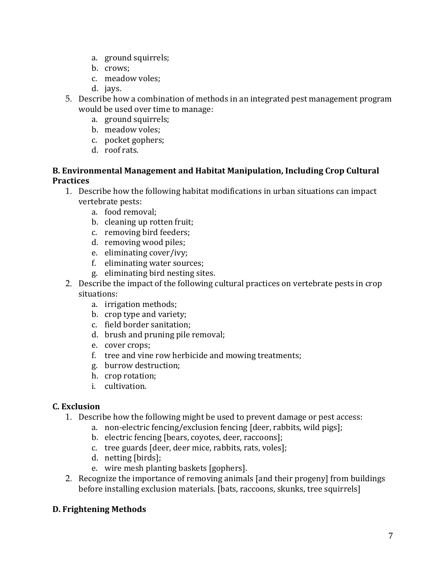- a. ground squirrels;
- b. crows;
- c. meadow voles;
- d. jays.
- 5. Describe how a combination of methods in an integrated pest management program would be used over time to manage:
	- a. ground squirrels;
	- b. meadow voles;
	- c. pocket gophers;
	- d. roof rats.

#### **B. Environmental Management and Habitat Manipulation, Including Crop Cultural Practices**

- 1. Describe how the following habitat modifications in urban situations can impact vertebrate pests:
	- a. food removal;
	- b. cleaning up rotten fruit;
	- c. removing bird feeders;
	- d. removing wood piles;
	- e. eliminating cover/ivy;
	- f. eliminating water sources;
	- g. eliminating bird nesting sites.
- 2. Describe the impact of the following cultural practices on vertebrate pests in crop situations:
	- a. irrigation methods;
	- b. crop type and variety;
	- c. field border sanitation;
	- d. brush and pruning pile removal;
	- e. cover crops;
	- f. tree and vine row herbicide and mowing treatments;
	- g. burrow destruction;
	- h. crop rotation;
	- i. cultivation.

### **C. Exclusion**

- 1. Describe how the following might be used to prevent damage or pest access:
	- a. non-electric fencing/exclusion fencing [deer, rabbits, wild pigs];
	- b. electric fencing [bears, coyotes, deer, raccoons];
	- c. tree guards [deer, deer mice, rabbits, rats, voles];
	- d. netting [birds];
	- e. wire mesh planting baskets [gophers].
- 2. Recognize the importance of removing animals [and their progeny] from buildings before installing exclusion materials. [bats, raccoons, skunks, tree squirrels]

### **D. Frightening Methods**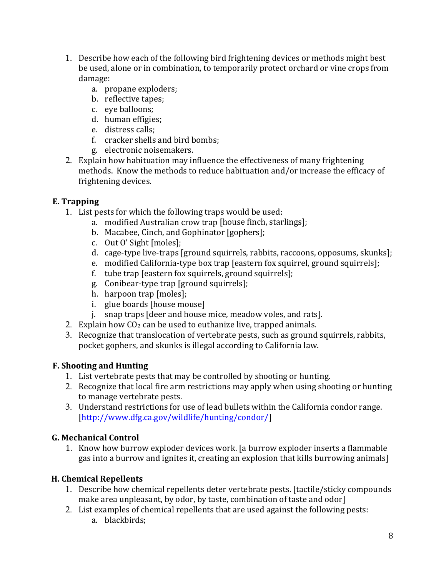- 1. Describe how each of the following bird frightening devices or methods might best be used, alone or in combination, to temporarily protect orchard or vine crops from damage:
	- a. propane exploders;
	- b. reflective tapes;
	- c. eye balloons;
	- d. human effigies;
	- e. distress calls;
	- f. cracker shells and bird bombs;
	- g. electronic noisemakers.
- 2. Explain how habituation may influence the effectiveness of many frightening methods. Know the methods to reduce habituation and/or increase the efficacy of frightening devices.

## **E. Trapping**

- 1. List pests for which the following traps would be used:
	- a. modified Australian crow trap [house finch, starlings];
	- b. Macabee, Cinch, and Gophinator [gophers];
	- c. Out O' Sight [moles];
	- d. cage-type live-traps [ground squirrels, rabbits, raccoons, opposums, skunks];
	- e. modified California-type box trap [eastern fox squirrel, ground squirrels];
	- f. tube trap [eastern fox squirrels, ground squirrels];
	- g. Conibear-type trap [ground squirrels];
	- h. harpoon trap [moles];
	- i. glue boards [house mouse]
	- j. snap traps [deer and house mice, meadow voles, and rats].
- 2. Explain how  $CO<sub>2</sub>$  can be used to euthanize live, trapped animals.
- 3. Recognize that translocation of vertebrate pests, such as ground squirrels, rabbits, pocket gophers, and skunks is illegal according to California law.

# **F. Shooting and Hunting**

- 1. List vertebrate pests that may be controlled by shooting or hunting.
- 2. Recognize that local fire arm restrictions may apply when using shooting or hunting to manage vertebrate pests.
- 3. Understand restrictions for use of lead bullets within the California condor range. [\[http://www.dfg.ca.gov/wildlife/hunting/condor](http://www.dfg.ca.gov/wildlife/hunting/condor)/]

# **G. Mechanical Control**

1. Know how burrow exploder devices work. [a burrow exploder inserts a flammable gas into a burrow and ignites it, creating an explosion that kills burrowing animals]

# **H. Chemical Repellents**

- 1. Describe how chemical repellents deter vertebrate pests. [tactile/sticky compounds make area unpleasant, by odor, by taste, combination of taste and odor]
- 2. List examples of chemical repellents that are used against the following pests: a. blackbirds;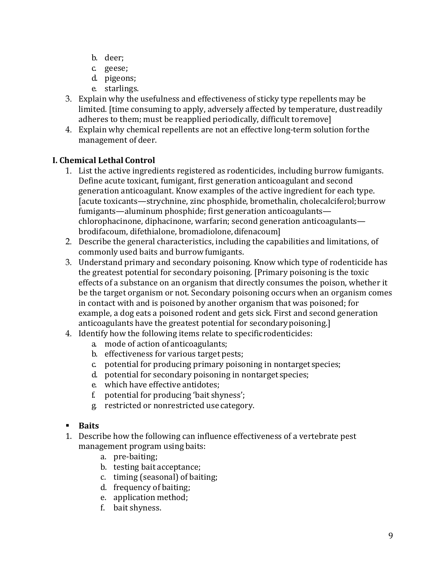- b. deer;
- c. geese;
- d. pigeons;
- e. starlings.
- 3. Explain why the usefulness and effectiveness of sticky type repellents may be limited. [time consuming to apply, adversely affected by temperature, dustreadily adheres to them; must be reapplied periodically, difficult toremove]
- 4. Explain why chemical repellents are not an effective long-term solution forthe management of deer.

# **I. Chemical Lethal Control**

- 1. List the active ingredients registered as rodenticides, including burrow fumigants. Define acute toxicant, fumigant, first generation anticoagulant and second generation anticoagulant. Know examples of the active ingredient for each type. [acute toxicants—strychnine, zinc phosphide, bromethalin, cholecalciferol;burrow fumigants—aluminum phosphide; first generation anticoagulants chlorophacinone, diphacinone, warfarin; second generation anticoagulants brodifacoum, difethialone, bromadiolone, difenacoum]
- commonly used baits and burrow fumigants. 2. Describe the general characteristics, including the capabilities and limitations, of
- anticoagulants have the greatest potential for secondarypoisoning.] 3. Understand primary and secondary poisoning. Know which type of rodenticide has the greatest potential for secondary poisoning. [Primary poisoning is the toxic effects of a substance on an organism that directly consumes the poison, whether it be the target organism or not. Secondary poisoning occurs when an organism comes in contact with and is poisoned by another organism that was poisoned; for example, a dog eats a poisoned rodent and gets sick. First and second generation
- 4. Identify how the following items relate to specificrodenticides:
	- a. mode of action of anticoagulants;
	- b. effectiveness for various target pests;
	- c. potential for producing primary poisoning in nontarget species;
	- d. potential for secondary poisoning in nontarget species;
	- e. which have effective antidotes;
	- f. potential for producing 'bait shyness';
	- g. restricted or nonrestricted use category.
- **Baits**
- management program using baits: 1. Describe how the following can influence effectiveness of a vertebrate pest
	- a. pre-baiting;
	- b. testing bait acceptance;
	- c. timing (seasonal) of baiting;
	- d. frequency of baiting;
	- e. application method;
	- f. bait shyness.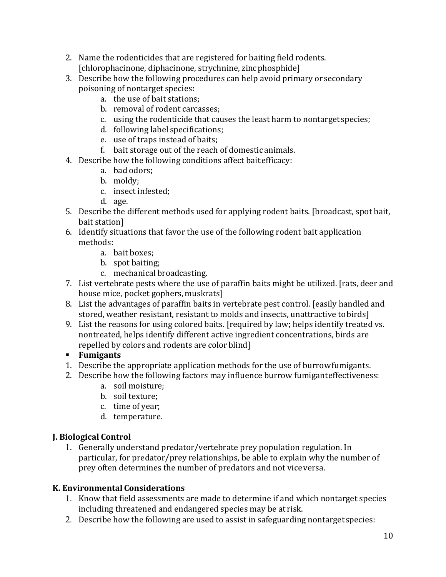- [chlorophacinone, diphacinone, strychnine, zincphosphide] 2. Name the rodenticides that are registered for baiting field rodents.
- poisoning of nontarget species: 3. Describe how the following procedures can help avoid primary orsecondary
	- a. the use of bait stations;
	- b. removal of rodent carcasses;
	- c. using the rodenticide that causes the least harm to nontarget species;
	- d. following label specifications;
	- e. use of traps instead of baits;
	- f. bait storage out of the reach of domestic animals.
- 4. Describe how the following conditions affect bait efficacy:
	- a. bad odors;
	- b. moldy;
	- c. insect infested;
	- d. age.
- bait station] 5. Describe the different methods used for applying rodent baits. [broadcast, spot bait,
- 6. Identify situations that favor the use of the following rodent bait application methods:
	- a. bait boxes;
	- b. spot baiting;
	- c. mechanical broadcasting.
- house mice, pocket gophers, muskrats] 7. List vertebrate pests where the use of paraffin baits might be utilized. [rats, deer and
- stored, weather resistant, resistant to molds and insects, unattractive tobirds] 8. List the advantages of paraffin baits in vertebrate pest control. [easily handled and
- repelled by colors and rodents are color blind] 9. List the reasons for using colored baits. [required by law; helps identify treated vs. nontreated, helps identify different active ingredient concentrations, birds are

# **Fumigants**

- 1. Describe the appropriate application methods for the use of burrowfumigants.
- 2. Describe how the following factors may influence burrow fumiganteffectiveness:
	- a. soil moisture;
	- b. soil texture;
	- c. time of year;
	- d. temperature.

# **J. Biological Control**

 prey often determines the number of predators and not vice versa. 1. Generally understand predator/vertebrate prey population regulation. In particular, for predator/prey relationships, be able to explain why the number of

# **K. Environmental Considerations**

- including threatened and endangered species may be at risk. 1. Know that field assessments are made to determine if and which nontarget species
- 2. Describe how the following are used to assist in safeguarding nontargetspecies: